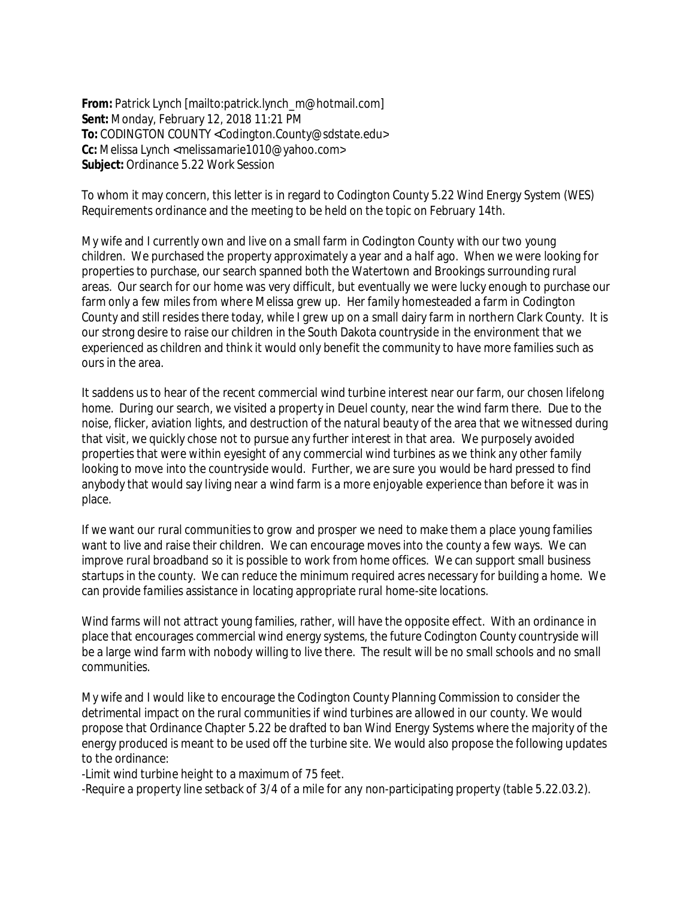**From:** Patrick Lynch [mailto:patrick.lynch\_m@hotmail.com] **Sent:** Monday, February 12, 2018 11:21 PM **To:** CODINGTON COUNTY <Codington.County@sdstate.edu> **Cc:** Melissa Lynch <melissamarie1010@yahoo.com> **Subject:** Ordinance 5.22 Work Session

To whom it may concern, this letter is in regard to Codington County 5.22 Wind Energy System (WES) Requirements ordinance and the meeting to be held on the topic on February 14th.

My wife and I currently own and live on a small farm in Codington County with our two young children. We purchased the property approximately a year and a half ago. When we were looking for properties to purchase, our search spanned both the Watertown and Brookings surrounding rural areas. Our search for our home was very difficult, but eventually we were lucky enough to purchase our farm only a few miles from where Melissa grew up. Her family homesteaded a farm in Codington County and still resides there today, while I grew up on a small dairy farm in northern Clark County. It is our strong desire to raise our children in the South Dakota countryside in the environment that we experienced as children and think it would only benefit the community to have more families such as ours in the area.

It saddens us to hear of the recent commercial wind turbine interest near our farm, our chosen lifelong home. During our search, we visited a property in Deuel county, near the wind farm there. Due to the noise, flicker, aviation lights, and destruction of the natural beauty of the area that we witnessed during that visit, we quickly chose not to pursue any further interest in that area. We purposely avoided properties that were within eyesight of any commercial wind turbines as we think any other family looking to move into the countryside would. Further, we are sure you would be hard pressed to find anybody that would say living near a wind farm is a more enjoyable experience than before it was in place.

If we want our rural communities to grow and prosper we need to make them a place young families want to live and raise their children. We can encourage moves into the county a few ways. We can improve rural broadband so it is possible to work from home offices. We can support small business startups in the county. We can reduce the minimum required acres necessary for building a home. We can provide families assistance in locating appropriate rural home-site locations.

Wind farms will not attract young families, rather, will have the opposite effect. With an ordinance in place that encourages commercial wind energy systems, the future Codington County countryside will be a large wind farm with nobody willing to live there. The result will be no small schools and no small communities.

My wife and I would like to encourage the Codington County Planning Commission to consider the detrimental impact on the rural communities if wind turbines are allowed in our county. We would propose that Ordinance Chapter 5.22 be drafted to ban Wind Energy Systems where the majority of the energy produced is meant to be used off the turbine site. We would also propose the following updates to the ordinance:

-Limit wind turbine height to a maximum of 75 feet.

-Require a property line setback of 3/4 of a mile for any non-participating property (table 5.22.03.2).